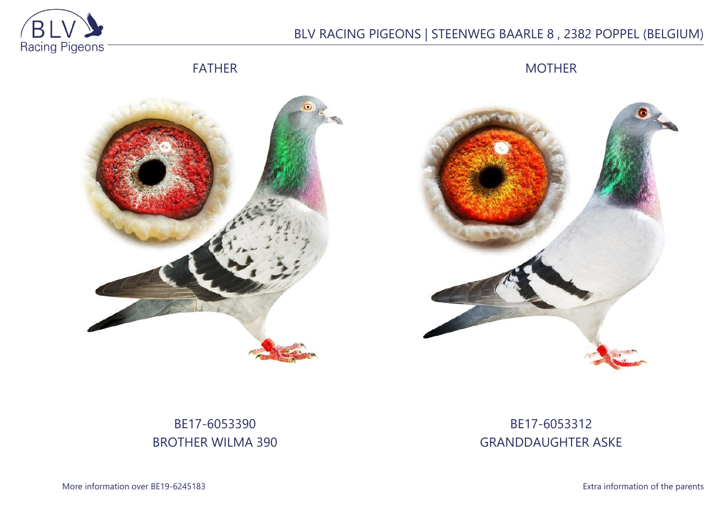

# BLV RACING PIGEONS | STEENWEG BAARLE 8 , 2382 POPPEL (BELGIUM)

FATHER

MOTHER





# BE17-6053390 BROTHER WILMA 390

# BE17-6053312 GRANDDAUGHTER ASKE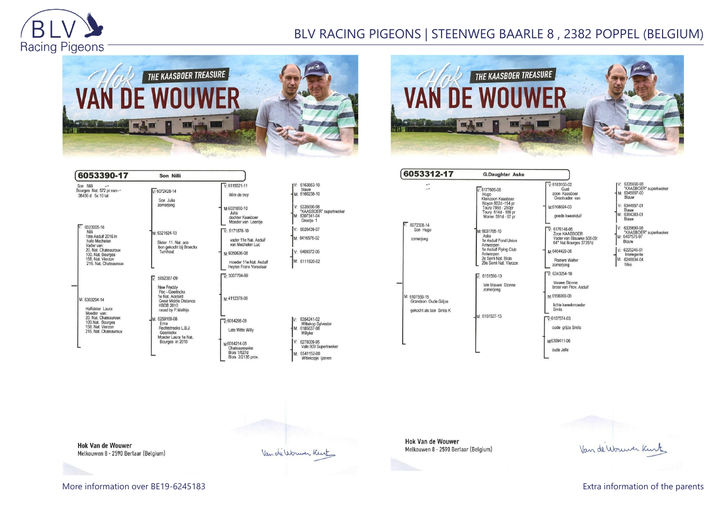

## BLV RACING PIGEONS | STEENWEG BAARLE 8 , 2382 POPPEL (BELGIUM)





| 6053390-17                                                                                                                                                                                                                                                                                                         | Son Nilli                                                                                                                  |                                                                     |                                                                 |
|--------------------------------------------------------------------------------------------------------------------------------------------------------------------------------------------------------------------------------------------------------------------------------------------------------------------|----------------------------------------------------------------------------------------------------------------------------|---------------------------------------------------------------------|-----------------------------------------------------------------|
| Son Nilli<br>$-$<br>Bourges Nat. 572 pr.van--<br>38456 d 5x 10 tal                                                                                                                                                                                                                                                 | $V: 6072428 - 14$<br>Son Julia                                                                                             | $V: 6115021 - 11$<br>Wim de troy                                    | IV: 6163863-10<br>blauw<br>M: 6166238-10                        |
|                                                                                                                                                                                                                                                                                                                    | zomerjong                                                                                                                  | M:6031800-10<br>Julia<br>dochter Kaasboer<br>Moeder van Leentie     | V: 6335690-98<br>"KAASBOER" supe<br>M: 6307341-04<br>Greetie 1  |
| 6023005-16<br>Nilli<br>1ste Asduif 2016 in<br>hafo Mechelen<br>Vader van:<br>20. Nat. Chateauroux<br>100. Nat. Bourges<br>158. Nat. Vierzon<br>216. Nat. Chateauroux<br>M: 6303294-14<br>Halfsister Laura<br>Moeder van:<br>20. Nat. Chateauroux<br>100.Nat. Bourges<br>158. Nat. Vierzon<br>216. Nat. Chateauroux | M: 6321624-13<br>Sister 11, Nat. ace<br>bon gekocht bij Broeckx<br>Turnhout                                                | $V \cdot 6171878 - 10$<br>vader 11e Nat. Asduif<br>van Mechelen Luc | V: 6026439-07<br>M: 6416576-02                                  |
|                                                                                                                                                                                                                                                                                                                    |                                                                                                                            | M:6050636-08<br>moeder 11e Nat. Asduif<br>Heylen Frans Vorselaar    | V: 6409372-06<br>M: 6111820-02                                  |
|                                                                                                                                                                                                                                                                                                                    | 5052387-09<br>⊽                                                                                                            | $\sqrt{V}$ : 5007704-99                                             |                                                                 |
|                                                                                                                                                                                                                                                                                                                    | New Freddy<br>Pec - Geerinckx<br>1e Nat. Acebird<br><b>Great Middle Distance</b><br><b>KBDB 2010</b><br>raced by P.Mathiis | м-4112378-06                                                        |                                                                 |
|                                                                                                                                                                                                                                                                                                                    | M: 6259169-08<br>Erna<br>Rechtstreeks L.B.J.<br>Geerinckx<br>Moeder Laura 1e Nat.                                          | $\nabla 6054295-05$<br>Late Witte Willy                             | V: 6354241-02<br>Wittekop Sylvester<br>M: 6185637-98<br>Willyke |
|                                                                                                                                                                                                                                                                                                                    | Bourges in 2010                                                                                                            | м 6054214-05<br>Chateaurouxke                                       | V: 6278009-95<br>Vale 009 Superkwe                              |
|                                                                                                                                                                                                                                                                                                                    |                                                                                                                            | <b>Blois 1/627d</b><br>Blois 2/2135 prov.                           | M: 6541152-00<br>Wittekopje ijzeren                             |

|    | 6163863-10<br>blauw                            |
|----|------------------------------------------------|
|    | M: 6166238-10                                  |
|    | V: 6335690-98<br>"KAASBOER" superkweker        |
|    | 6307341-04<br>Greetie 1                        |
|    | V: 6026439-07                                  |
|    | M: 6416576-02                                  |
|    | V: 6409372-06                                  |
|    | M: 6111820-02                                  |
|    | 6354241-02<br>Wittekop Sylvester<br>6185637-98 |
| V: | Willyke                                        |
|    | 6278009-95<br>Vale 009 Superkweker             |

| 6053312-17                                                       | <b>G.Daughter Aske</b>                                                                                                                          |                                                                                                                                                                     |
|------------------------------------------------------------------|-------------------------------------------------------------------------------------------------------------------------------------------------|---------------------------------------------------------------------------------------------------------------------------------------------------------------------|
| $\overline{\phantom{a}}$                                         | $V: 6177605-08$<br>Hugo<br>Kleinzoon Kaasboer<br>Novon 802d -154 pr<br>Toury 786d - 250pr<br>Toury 614d - 169 pr<br>Marne 591d - 97 pr          | $V: 6183100-02$<br>Gust<br>zoon Kaashoer<br>Grootvader van<br>M:6108024-03<br>goede kweekduif                                                                       |
| 6072308-14<br>Son Hugo<br>zomerjong                              | M: 6031765-10<br>Aske<br>1e Asduif Fond Union<br>Antwerpen<br>1e Asduif Flying Club<br>Antwerpen<br>2e Semi Nat. Blois<br>29e Semi Nat. Vierzon | $\nabla 6176146-05$<br>Zoon KAASBOER<br>Vader van Blauwke 50<br>64° Nat Bourges 3735<br>M:6404429-06<br><b>Roziers Walter</b><br>zomerjong                          |
| M: 6107559-15<br>Grandson Oude Griize<br>gekocht als bon Smits K | $\overline{V}$ : 6151590-13<br>late blauwe Stonne<br>zomeriona<br>M: 6151527-13                                                                 | $\overline{V}$ : 6343254-10<br>blauwe Stonne<br>broer van Prov. Asduif<br>M-6158069-08<br>lichte kweekmoeder<br><b>Smits</b><br>$V.6107574-03$<br>oude grijze Smits |
|                                                                  |                                                                                                                                                 | M6309411-06<br>oude Jelle                                                                                                                                           |

#### 83100-02 Gust on Kaasboer rootvader van 08024-03 ede kweekduif 76146-05<br>von KAASBOER der van Blauwke 508-09:<br>der van Blauwke 508-09:<br>° Nat Bourges 37357d 14429-06 oziers Walter nerjong

V: 6335690-98<br>"KAASBOER" superkweker<br>M: 6345097-00<br>Blauw 6344997-01 Blauw<br>M: 6364383-01 Blauw V: 6335690-98<br>"KAASBOER" superkweker<br>M: 6407575-97 Blauw V: 6225246-01 Intelegente<br>M: 6246934-04<br>Nike

**Hok Van de Wouwer** Melkouwen 8 - 2590 Berlaar (Belgium)

Van de Wouwer Kurt

**Hok Van de Wouwer** Melkouwen 8 - 2590 Berlaar (Belgium)

Van de Worwer Kent

More information over BE19-6245183 **Extra information of the parents** Extra information of the parents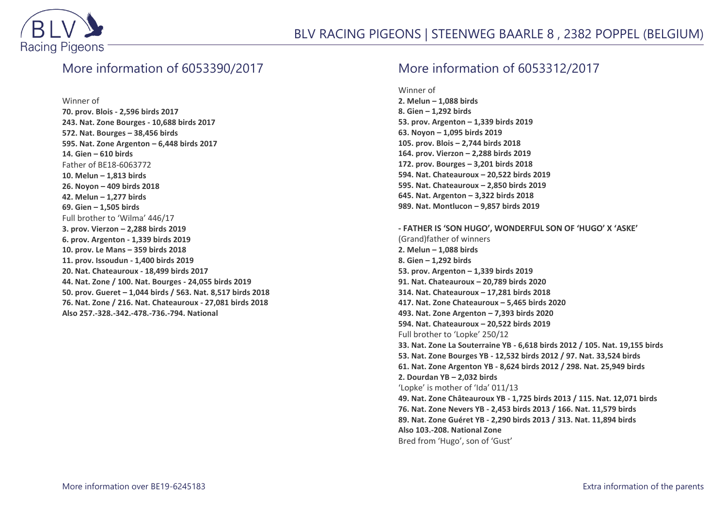

### More information of 6053390/2017

Winner of

**70. prov. Blois - 2,596 birds 2017 243. Nat. Zone Bourges - 10,688 birds 2017 572. Nat. Bourges – 38,456 birds 595. Nat. Zone Argenton – 6,448 birds 2017 14. Gien – 610 birds** Father of BE18-6063772 **10. Melun – 1,813 birds 26. Noyon – 409 birds 2018 42. Melun – 1,277 birds 69. Gien – 1,505 birds** Full brother to 'Wilma' 446/17 **3. prov. Vierzon – 2,288 birds 2019 6. prov. Argenton - 1,339 birds 2019 10. prov. Le Mans – 359 birds 2018 11. prov. Issoudun - 1,400 birds 2019 20. Nat. Chateauroux - 18,499 birds 2017 44. Nat. Zone / 100. Nat. Bourges - 24,055 birds 2019 50. prov. Gueret – 1,044 birds / 563. Nat. 8,517 birds 2018 76. Nat. Zone / 216. Nat. Chateauroux - 27,081 birds 2018 Also 257.-328.-342.-478.-736.-794. National**

## More information of 6053312/2017

Winner of

**2. Melun – 1,088 birds 8. Gien – 1,292 birds 53. prov. Argenton – 1,339 birds 2019 63. Noyon – 1,095 birds 2019 105. prov. Blois – 2,744 birds 2018 164. prov. Vierzon – 2,288 birds 2019 172. prov. Bourges – 3,201 birds 2018 594. Nat. Chateauroux – 20,522 birds 2019 595. Nat. Chateauroux – 2,850 birds 2019 645. Nat. Argenton – 3,322 birds 2018 989. Nat. Montlucon – 9,857 birds 2019**

**- FATHER IS 'SON HUGO', WONDERFUL SON OF 'HUGO' X 'ASKE'** (Grand)father of winners **2. Melun – 1,088 birds 8. Gien – 1,292 birds 53. prov. Argenton – 1,339 birds 2019 91. Nat. Chateauroux – 20,789 birds 2020 314. Nat. Chateauroux – 17,281 birds 2018 417. Nat. Zone Chateauroux – 5,465 birds 2020 493. Nat. Zone Argenton – 7,393 birds 2020 594. Nat. Chateauroux – 20,522 birds 2019** Full brother to 'Lopke' 250/12 **33. Nat. Zone La Souterraine YB - 6,618 birds 2012 / 105. Nat. 19,155 birds 53. Nat. Zone Bourges YB - 12,532 birds 2012 / 97. Nat. 33,524 birds 61. Nat. Zone Argenton YB - 8,624 birds 2012 / 298. Nat. 25,949 birds 2. Dourdan YB – 2,032 birds** 'Lopke' is mother of 'Ida' 011/13 **49. Nat. Zone Châteauroux YB - 1,725 birds 2013 / 115. Nat. 12,071 birds 76. Nat. Zone Nevers YB - 2,453 birds 2013 / 166. Nat. 11,579 birds 89. Nat. Zone Guéret YB - 2,290 birds 2013 / 313. Nat. 11,894 birds Also 103.-208. National Zone** Bred from 'Hugo', son of 'Gust'